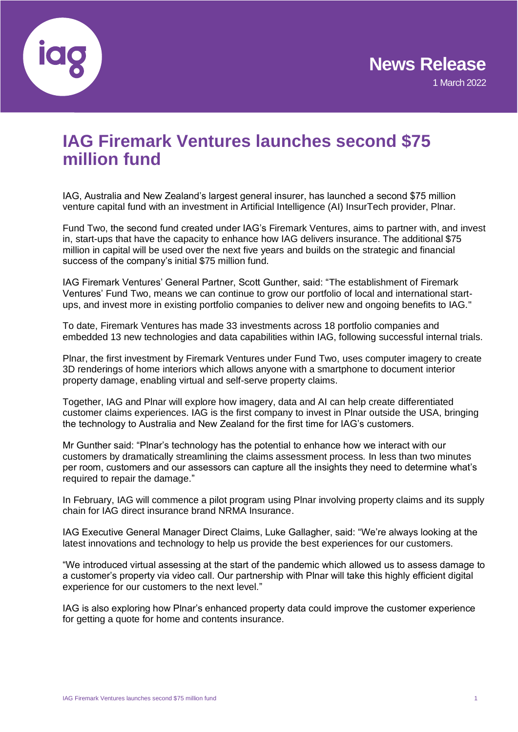

# **IAG Firemark Ventures launches second \$75 million fund**

IAG, Australia and New Zealand's largest general insurer, has launched a second \$75 million venture capital fund with an investment in Artificial Intelligence (AI) InsurTech provider, Plnar.

Fund Two, the second fund created under IAG's Firemark Ventures, aims to partner with, and invest in, start-ups that have the capacity to enhance how IAG delivers insurance. The additional \$75 million in capital will be used over the next five years and builds on the strategic and financial success of the company's initial \$75 million fund.

IAG Firemark Ventures' General Partner, Scott Gunther, said: "The establishment of Firemark Ventures' Fund Two, means we can continue to grow our portfolio of local and international startups, and invest more in existing portfolio companies to deliver new and ongoing benefits to IAG."

To date, Firemark Ventures has made 33 investments across 18 portfolio companies and embedded 13 new technologies and data capabilities within IAG, following successful internal trials.

Plnar, the first investment by Firemark Ventures under Fund Two, uses computer imagery to create 3D renderings of home interiors which allows anyone with a smartphone to document interior property damage, enabling virtual and self-serve property claims.

Together, IAG and Plnar will explore how imagery, data and AI can help create differentiated customer claims experiences. IAG is the first company to invest in Plnar outside the USA, bringing the technology to Australia and New Zealand for the first time for IAG's customers.

Mr Gunther said: "Plnar's technology has the potential to enhance how we interact with our customers by dramatically streamlining the claims assessment process. In less than two minutes per room, customers and our assessors can capture all the insights they need to determine what's required to repair the damage."

In February, IAG will commence a pilot program using Plnar involving property claims and its supply chain for IAG direct insurance brand NRMA Insurance.

IAG Executive General Manager Direct Claims, Luke Gallagher, said: "We're always looking at the latest innovations and technology to help us provide the best experiences for our customers.

"We introduced virtual assessing at the start of the pandemic which allowed us to assess damage to a customer's property via video call. Our partnership with Plnar will take this highly efficient digital experience for our customers to the next level."

IAG is also exploring how Plnar's enhanced property data could improve the customer experience for getting a quote for home and contents insurance.